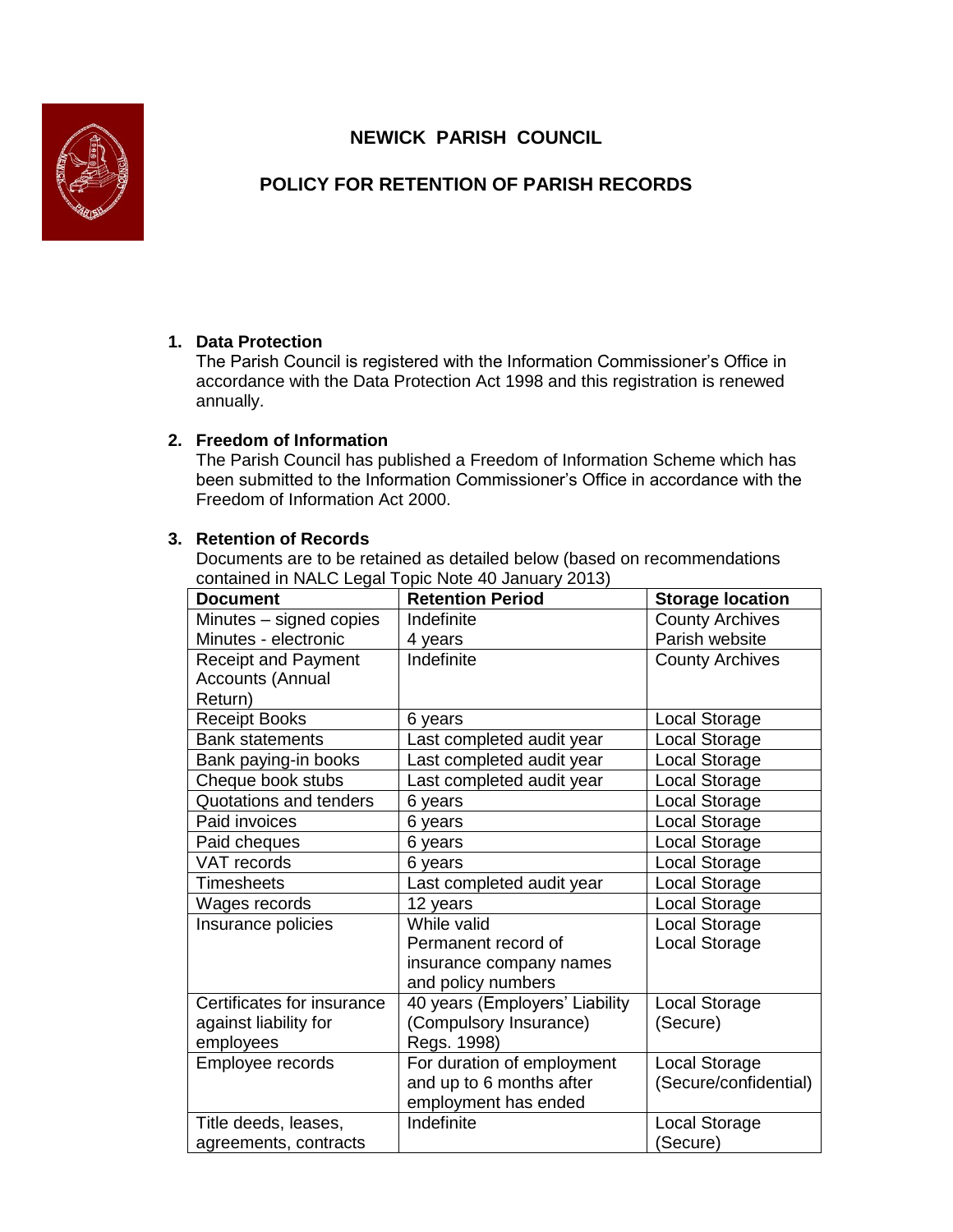**NEWICK PARISH COUNCIL**



# **POLICY FOR RETENTION OF PARISH RECORDS**

# **1. Data Protection**

The Parish Council is registered with the Information Commissioner's Office in accordance with the Data Protection Act 1998 and this registration is renewed annually.

## **2. Freedom of Information**

The Parish Council has published a Freedom of Information Scheme which has been submitted to the Information Commissioner's Office in accordance with the Freedom of Information Act 2000.

## **3. Retention of Records**

Documents are to be retained as detailed below (based on recommendations contained in NALC Legal Topic Note 40 January 2013)

| <b>Document</b>            | <b>Retention Period</b>        | <b>Storage location</b> |
|----------------------------|--------------------------------|-------------------------|
| Minutes - signed copies    | Indefinite                     | <b>County Archives</b>  |
| Minutes - electronic       | 4 years                        | Parish website          |
| <b>Receipt and Payment</b> | Indefinite                     | <b>County Archives</b>  |
| <b>Accounts (Annual</b>    |                                |                         |
| Return)                    |                                |                         |
| <b>Receipt Books</b>       | 6 years                        | Local Storage           |
| <b>Bank statements</b>     | Last completed audit year      | Local Storage           |
| Bank paying-in books       | Last completed audit year      | Local Storage           |
| Cheque book stubs          | Last completed audit year      | Local Storage           |
| Quotations and tenders     | 6 years                        | Local Storage           |
| Paid invoices              | 6 years                        | Local Storage           |
| Paid cheques               | 6 years                        | Local Storage           |
| VAT records                | 6 years                        | Local Storage           |
| <b>Timesheets</b>          | Last completed audit year      | Local Storage           |
| Wages records              | 12 years                       | Local Storage           |
| Insurance policies         | While valid                    | Local Storage           |
|                            | Permanent record of            | Local Storage           |
|                            | insurance company names        |                         |
|                            | and policy numbers             |                         |
| Certificates for insurance | 40 years (Employers' Liability | Local Storage           |
| against liability for      | (Compulsory Insurance)         | (Secure)                |
| employees                  | Regs. 1998)                    |                         |
| Employee records           | For duration of employment     | Local Storage           |
|                            | and up to 6 months after       | (Secure/confidential)   |
|                            | employment has ended           |                         |
| Title deeds, leases,       | Indefinite                     | Local Storage           |
| agreements, contracts      |                                | (Secure)                |